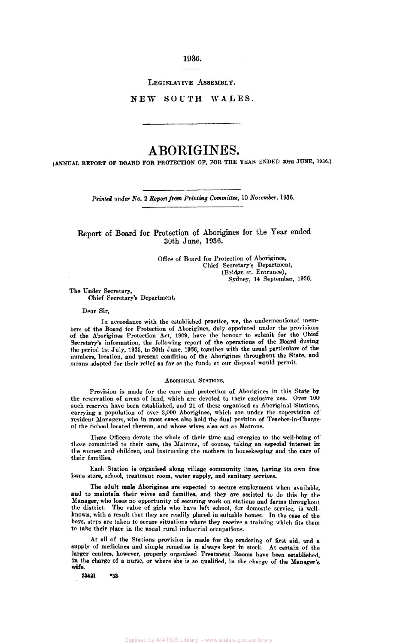**1936.** 

**LEGISLATIVE ASSEMBLY.** 

**NEW SOUTH WALES.** 

# **ABORIGINES.**

*(ANNUAL* **REPORT OF BOARD FOR PROTECTION OF, FOR THE YEAR ENDED 30th JUNE, 1936.)** 

**Printed** *under No.* **2** *Report* **from** *Printing Committee,* **10 November, 1936** 

# **Report** of **Board** for Protection of Aborigines for the **Year** ended 30th June, 1936.

Office of Board for Protection of Aborigines, (Bridge st. Entrance), Chief Secretary's Department, Sydney, **14** September, **1936.** 

The Under Secretary,

Chief Secretary's Department.

**Dear** Sir,

In accordance with the established practice, we, the undermentioned members of the **Board** for Protection of Aborigines, duly appointed under the provisions of the Aborigines Protection Act, **1909,** have the honour to submit for the Chief Secretary's information, the following report of the operations of the Board during the period 1st July, **1935,** to 30th June, **1936,** together with the usual particulars of the numbers location, and present condition of the Aborigines throughout the State. and means adopted for their relief as far as the funds at our disposal would permit.

# **ABORIGINAL STATIONS.**

Provision is made for the care and protection of Aborigines in this State **by**  the reservation of areas of land, which are devoted to their exclusire use. Over **100**  such reserves have been established, and 21 of these organised as Aboriginal Stations, carrying **a** population of over **3,000** Aborigines, which are under the supervision of resident Managers, who in most **cases** also hold the dual position of Teacher-in-Chargeof the School located thereon, and whose wives also act **as** Matrons.

These **Officers** devote the whole of their time and energies to the well-being of **those** committed to their care, the Matrons, of course, taking an especial interest in the women and children, and instructing the mothers in housekeeping and the care of **their** families

Each Station **is organised** along village community lines, having its own free issue store, school, treatment room, water supply, and sanitary services.

The adult male Aborigines are expected to secure employment when available, and to maintain their wives and families, and they are assisted to do this **by** the Manager, who **loses** no opportunity of securing work **on** stations and farms throughout the district. The value of girls who have left school, for domestic service, **is** wellknown, with **a** result that they are readily placed in suitable homes. In the *case* of the boys, steps are taken **to** secure situations where they recieve **a** training which fits them to take their place in the usual rural industrial occupations.

At all of the Stations provision is made for the rendering of first aid, and **a**  supply of medicines and simple remedies is always **kept** in stock. At certain of the larger centres, however, properly organised Treatment Rooms have **been** established, in the charge of a nurse, or where she is **so** qualified, in the charge of the Manager's wife.

**23421 \*33**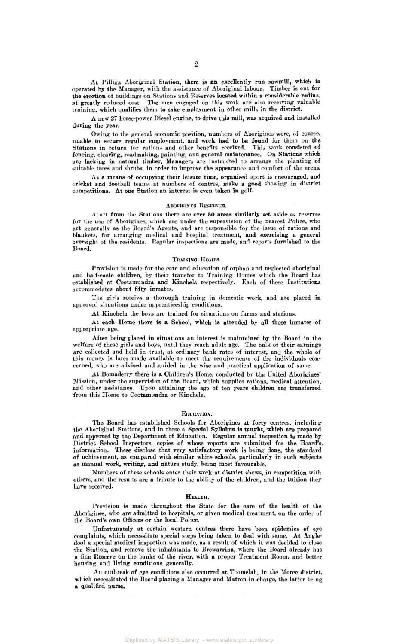At Pilliga Aboriginal Station, there is **an** excellently **run** sawmill, which is operated by the Manager, with the assistance of Aboriginal labour. Timber is cut for the **erection** of buildings **on** Stations and **Reserves** located **within a** considerable **radius**  *at* greatly reduced **cost.** The men engaged on this work are also *receiving* valuable training, which qualifies them to **take** employment in other mills in the district.

A new **27** horse-power Diesel engine, to drive **this** mill, was acquired and installed during the year.

Owing to the general economic position, numbers of Aborigines were, of **course,**  unable to **secure** regular employment, and work had to be found for them on the Stations in return for rations and other benefits received. This work consisted of fencing, clearing, roadmaking, painting, and general maintenance. *On* Stations which are lacking in natural timber, Managers are instructed to arrange the planting of suitable trees and shrubs, in order to improve the appearance and comfort of the areas.

As a means of occupying their leisure time, organised sport is encouraged, and cricket and football teams at numbers of centres, make a good showing in district competitions. At one Station an interest is even taken **in** golf.

#### ABORIGINES RESERVES.

Apart from the Stations there are over *80* areas similarly **set** aside **as** reserves for the **use** of Aborigines, which are under the supervision of the nearest Police. who act generally as the Board's Agents, and are responsible for the issue of rations and blankets, for arranging medical and hospital treatment, and exercising **a** general oversight of the residents. Regular inspections are made, and reports furnished **to** the Board.

# TRAINING HOMES.

Provision is made for the care and education of orphan and neglected aboriginal and half-caste children, by their transfer to Training Homes which the Board has established at Cootamundra and Kinchela respectively. Each of these Institutions accommodates about fifty inmates.

approved situations under apprenticeship conditions. The girls receive **a** thorough training in domestic work, and are placed

At Kinchela the **boys** are trained for situations on farms and stations.

At each Home there is a School, which is attended by all those inmates **of**  appropriate age.

After being placed in situations an interest is maintained by the Board in the welfare of these girls and boys, until they reach adult age. The bulk of their earnings are collected and held in trust, at ordinary bank rates of interest, and the whole of this money is later made available to meet the requirements of the individuals **con-** cerned, who are advised and guided in the wise and practical application of same.

At Bomaderry there is **a** Children's Home, conducted by the United Aborigines' Mission, under the supervision of the Board, which supplies rations, medical attention, and other assistance. Upon attaining the age of ten years children are transferred from this Home to Cootamundra or Kinchela.

#### **EDUCATION.**

The Board has established Schools for Aborigines at forty centres, including the Aboriginal Stations, and in these a Special Syllabus **is** taught, which are prepared **and** approved **by the** Department of Education. Regular annual inspection is made **by**  District School Inspectors, copies of whose reports are submitted for the Board's, information. These disclose that very satisfactory work is being done, the standard of achievement, **as** compared with similar white schools, particularly in such subjects, as manual work, writing, and nature study, being most favourable.

Numbers of these schools enter their work at district shows, in competition with others, and the results are **a** tribute to the ability of the children, and the tuition they have received.

# **HEALTH.**

Provision is made throughout the State for the care of the health of the Aborigines, who are admitted to hospitals, or given medical treatment, on the order of the Board's **own officers** or the local Police.

Unfortunately at **certain western** centres there have **been** epidemics of eye complaints, which necessitate special steps being taken to deal with same. At Angledool **a** special medical inspection was made, **as** a result of which it was decided to close the Station, and remove the inhabitants *to* Brewarrina, where the Board already has a fine Reserve on the banks of the river, with **a** proper Treatment Room, and better housing and living conditions generally.

An outbreak of eye conditions also **occurred at** Toomelah, in the Moree district, which necessitated the Board placing **a** Manager and Matron in charge, the latter being **a** qualified **nurse.**